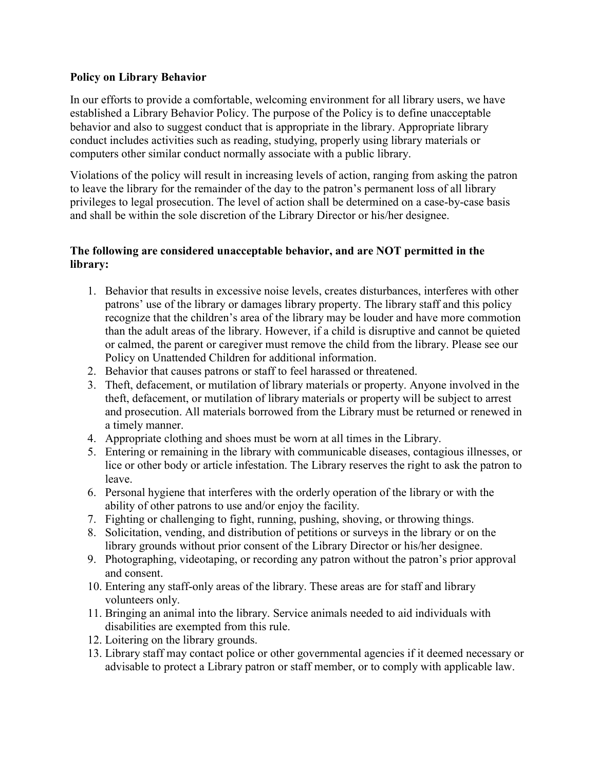## Policy on Library Behavior

In our efforts to provide a comfortable, welcoming environment for all library users, we have established a Library Behavior Policy. The purpose of the Policy is to define unacceptable behavior and also to suggest conduct that is appropriate in the library. Appropriate library conduct includes activities such as reading, studying, properly using library materials or computers other similar conduct normally associate with a public library.

Violations of the policy will result in increasing levels of action, ranging from asking the patron to leave the library for the remainder of the day to the patron's permanent loss of all library privileges to legal prosecution. The level of action shall be determined on a case-by-case basis and shall be within the sole discretion of the Library Director or his/her designee.

## The following are considered unacceptable behavior, and are NOT permitted in the library:

- 1. Behavior that results in excessive noise levels, creates disturbances, interferes with other patrons' use of the library or damages library property. The library staff and this policy recognize that the children's area of the library may be louder and have more commotion than the adult areas of the library. However, if a child is disruptive and cannot be quieted or calmed, the parent or caregiver must remove the child from the library. Please see our Policy on Unattended Children for additional information.
- 2. Behavior that causes patrons or staff to feel harassed or threatened.
- 3. Theft, defacement, or mutilation of library materials or property. Anyone involved in the theft, defacement, or mutilation of library materials or property will be subject to arrest and prosecution. All materials borrowed from the Library must be returned or renewed in a timely manner.
- 4. Appropriate clothing and shoes must be worn at all times in the Library.
- 5. Entering or remaining in the library with communicable diseases, contagious illnesses, or lice or other body or article infestation. The Library reserves the right to ask the patron to leave.
- 6. Personal hygiene that interferes with the orderly operation of the library or with the ability of other patrons to use and/or enjoy the facility.
- 7. Fighting or challenging to fight, running, pushing, shoving, or throwing things.
- 8. Solicitation, vending, and distribution of petitions or surveys in the library or on the library grounds without prior consent of the Library Director or his/her designee.
- 9. Photographing, videotaping, or recording any patron without the patron's prior approval and consent.
- 10. Entering any staff-only areas of the library. These areas are for staff and library volunteers only.
- 11. Bringing an animal into the library. Service animals needed to aid individuals with disabilities are exempted from this rule.
- 12. Loitering on the library grounds.
- 13. Library staff may contact police or other governmental agencies if it deemed necessary or advisable to protect a Library patron or staff member, or to comply with applicable law.